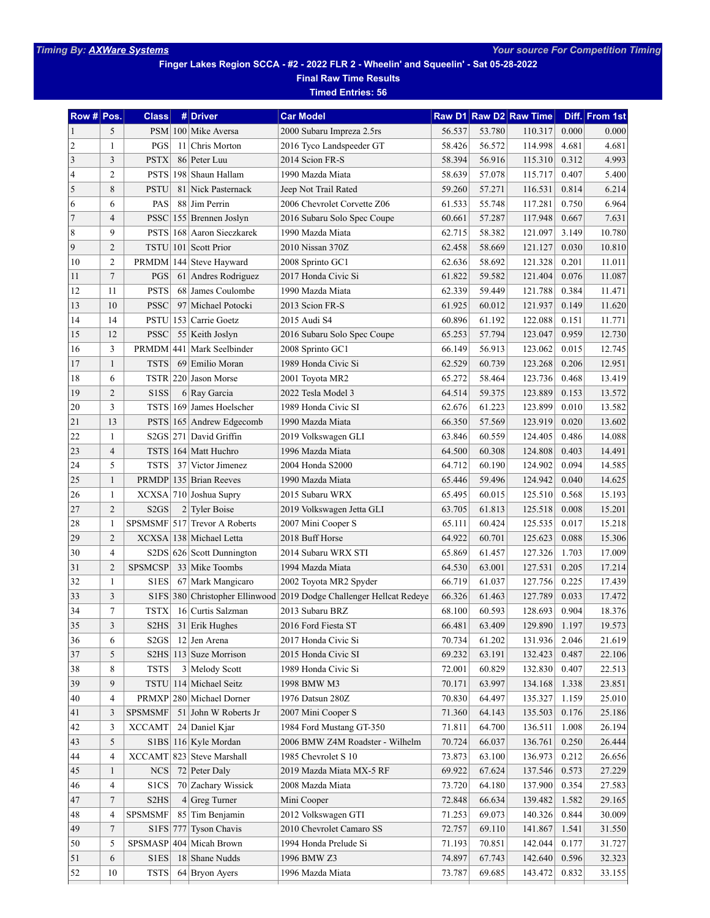**Finger Lakes Region SCCA - #2 - 2022 FLR 2 - Wheelin' and Squeelin' - Sat 05-28-2022**

**Final Raw Time Results Timed Entries: 56**

| Row # Pos.     |                  | <b>Class</b>                  |     | # Driver                     | <b>Car Model</b>                     |        |        | Raw D1 Raw D2 Raw Time |       | Diff. From 1st |
|----------------|------------------|-------------------------------|-----|------------------------------|--------------------------------------|--------|--------|------------------------|-------|----------------|
| $\mathbf{1}$   | 5                |                               |     | PSM   100   Mike Aversa      | 2000 Subaru Impreza 2.5rs            | 56.537 | 53.780 | 110.317                | 0.000 | 0.000          |
| $\sqrt{2}$     | $\mathbf{1}$     | PGS                           | 11  | Chris Morton                 | 2016 Tyco Landspeeder GT             | 58.426 | 56.572 | 114.998                | 4.681 | 4.681          |
| $\mathfrak{Z}$ | 3                | <b>PSTX</b>                   | 86  | Peter Luu                    | 2014 Scion FR-S                      | 58.394 | 56.916 | 115.310                | 0.312 | 4.993          |
| 4              | $\mathfrak{2}$   | <b>PSTS</b>                   |     | 198 Shaun Hallam             | 1990 Mazda Miata                     | 58.639 | 57.078 | 115.717                | 0.407 | 5.400          |
| 5              | $\,$ 8 $\,$      | <b>PSTU</b>                   | 81  | Nick Pasternack              | Jeep Not Trail Rated                 | 59.260 | 57.271 | 116.531                | 0.814 | 6.214          |
| 6              | 6                | PAS                           |     | 88 Jim Perrin                | 2006 Chevrolet Corvette Z06          | 61.533 | 55.748 | 117.281                | 0.750 | 6.964          |
| 7              | $\overline{4}$   | <b>PSSC</b>                   |     | 155 Brennen Joslyn           | 2016 Subaru Solo Spec Coupe          | 60.661 | 57.287 | 117.948                | 0.667 | 7.631          |
| $\,$ 8 $\,$    | 9                |                               |     | PSTS 168 Aaron Sieczkarek    | 1990 Mazda Miata                     | 62.715 | 58.382 | 121.097                | 3.149 | 10.780         |
| 9              | $\mathfrak{2}$   |                               |     | TSTU 101 Scott Prior         | 2010 Nissan 370Z                     | 62.458 | 58.669 | 121.127                | 0.030 | 10.810         |
| 10             | $\mathfrak{2}$   | PRMDM                         |     | 144 Steve Hayward            | 2008 Sprinto GC1                     | 62.636 | 58.692 | 121.328                | 0.201 | 11.011         |
| 11             | $\tau$           | PGS                           |     | 61 Andres Rodriguez          | 2017 Honda Civic Si                  | 61.822 | 59.582 | 121.404                | 0.076 | 11.087         |
| 12             | 11               | <b>PSTS</b>                   | 68  | James Coulombe               | 1990 Mazda Miata                     | 62.339 | 59.449 | 121.788                | 0.384 | 11.471         |
| 13             | 10               | <b>PSSC</b>                   | 97  | Michael Potocki              | 2013 Scion FR-S                      | 61.925 | 60.012 | 121.937                | 0.149 | 11.620         |
| 14             | 14               | <b>PSTU</b>                   |     | 153 Carrie Goetz             | 2015 Audi S4                         | 60.896 | 61.192 | 122.088                | 0.151 | 11.771         |
| 15             | 12               | <b>PSSC</b>                   |     | 55 Keith Joslyn              | 2016 Subaru Solo Spec Coupe          | 65.253 | 57.794 | 123.047                | 0.959 | 12.730         |
| 16             | 3                | <b>PRMDM</b>                  | 441 | Mark Seelbinder              | 2008 Sprinto GC1                     | 66.149 | 56.913 | 123.062                | 0.015 | 12.745         |
| 17             | $\mathbf{1}$     | <b>TSTS</b>                   |     | 69 Emilio Moran              | 1989 Honda Civic Si                  | 62.529 | 60.739 | 123.268                | 0.206 | 12.951         |
| 18             | 6                |                               |     | TSTR 220 Jason Morse         | 2001 Toyota MR2                      | 65.272 | 58.464 | 123.736                | 0.468 | 13.419         |
| 19             | $\overline{2}$   | <b>S1SS</b>                   |     | 6 Ray Garcia                 | 2022 Tesla Model 3                   | 64.514 | 59.375 | 123.889                | 0.153 | 13.572         |
| 20             | 3                |                               |     | TSTS 169 James Hoelscher     | 1989 Honda Civic SI                  | 62.676 | 61.223 | 123.899                | 0.010 | 13.582         |
| 21             | 13               |                               |     | PSTS 165 Andrew Edgecomb     | 1990 Mazda Miata                     | 66.350 | 57.569 | 123.919                | 0.020 | 13.602         |
| 22             | $\mathbf{1}$     | $S2GS$ 271                    |     | David Griffin                | 2019 Volkswagen GLI                  | 63.846 | 60.559 | 124.405                | 0.486 | 14.088         |
| 23             | $\overline{4}$   |                               |     | TSTS   164   Matt Huchro     | 1996 Mazda Miata                     | 64.500 | 60.308 | 124.808                | 0.403 | 14.491         |
| 24             | 5                | <b>TSTS</b>                   |     | 37 Victor Jimenez            | 2004 Honda S2000                     | 64.712 | 60.190 | 124.902                | 0.094 | 14.585         |
| 25             | $\mathbf{1}$     |                               |     | PRMDP 135 Brian Reeves       | 1990 Mazda Miata                     | 65.446 | 59.496 | 124.942                | 0.040 | 14.625         |
| 26             | $\mathbf{1}$     | <b>XCXSA</b>                  |     | 710 Joshua Supry             | 2015 Subaru WRX                      | 65.495 | 60.015 | 125.510                | 0.568 | 15.193         |
| 27             | $\mathbf{2}$     | S <sub>2GS</sub>              |     | 2 Tyler Boise                | 2019 Volkswagen Jetta GLI            | 63.705 | 61.813 | 125.518                | 0.008 | 15.201         |
| 28             | $\mathbf{1}$     |                               |     | SPSMSMF 517 Trevor A Roberts | 2007 Mini Cooper S                   | 65.111 | 60.424 | 125.535                | 0.017 | 15.218         |
| 29             | $\mathbf{2}$     |                               |     | XCXSA 138 Michael Letta      | 2018 Buff Horse                      | 64.922 | 60.701 | 125.623                | 0.088 | 15.306         |
| 30             | $\overline{4}$   |                               |     | S2DS 626 Scott Dunnington    | 2014 Subaru WRX STI                  | 65.869 | 61.457 | 127.326                | 1.703 | 17.009         |
| 31             | $\mathbf{2}$     | <b>SPSMCSP</b>                |     | 33 Mike Toombs               | 1994 Mazda Miata                     | 64.530 | 63.001 | 127.531                | 0.205 | 17.214         |
| 32             | $\mathbf{1}$     | <b>S1ES</b>                   |     | 67 Mark Mangicaro            | 2002 Toyota MR2 Spyder               | 66.719 | 61.037 | 127.756                | 0.225 | 17.439         |
| 33             | $\mathfrak{Z}$   | S <sub>1</sub> F <sub>S</sub> |     | 380 Christopher Ellinwood    | 2019 Dodge Challenger Hellcat Redeye | 66.326 | 61.463 | 127.789                | 0.033 | 17.472         |
| 34             | $\tau$           | <b>TSTX</b>                   |     | 16 Curtis Salzman            | 2013 Subaru BRZ                      | 68.100 | 60.593 | 128.693                | 0.904 | 18.376         |
| 35             | 3                | S2HS                          |     | 31 Erik Hughes               | 2016 Ford Fiesta ST                  | 66.481 | 63.409 | 129.890                | 1.197 | 19.573         |
| 36             | 6                | S <sub>2</sub> GS             |     | 12 Jen Arena                 | 2017 Honda Civic Si                  | 70.734 | 61.202 | 131.936                | 2.046 | 21.619         |
| 37             | 5                | S2HS                          |     | 113 Suze Morrison            | 2015 Honda Civic SI                  | 69.232 | 63.191 | 132.423                | 0.487 | 22.106         |
| 38             | 8                | <b>TSTS</b>                   |     | 3 Melody Scott               | 1989 Honda Civic Si                  | 72.001 | 60.829 | 132.830                | 0.407 | 22.513         |
| 39             | 9                | <b>TSTU</b>                   |     | 114 Michael Seitz            | 1998 BMW M3                          | 70.171 | 63.997 | 134.168                | 1.338 | 23.851         |
| 40             | 4                |                               |     | PRMXP 280 Michael Dorner     | 1976 Datsun 280Z                     | 70.830 | 64.497 | 135.327                | 1.159 | 25.010         |
| 41             | $\mathfrak{Z}$   | <b>SPSMSMF</b>                | 51  | John W Roberts Jr            | 2007 Mini Cooper S                   | 71.360 | 64.143 | 135.503                | 0.176 | 25.186         |
| 42             | 3                | <b>XCCAMT</b>                 |     | 24 Daniel Kjar               | 1984 Ford Mustang GT-350             | 71.811 | 64.700 | 136.511                | 1.008 | 26.194         |
| 43             | 5                | S1BS                          |     | 116 Kyle Mordan              | 2006 BMW Z4M Roadster - Wilhelm      | 70.724 | 66.037 | 136.761                | 0.250 | 26.444         |
| 44             | 4                |                               |     | XCCAMT 823 Steve Marshall    | 1985 Chevrolet S 10                  | 73.873 | 63.100 | 136.973                | 0.212 | 26.656         |
| 45             | $\mathbf{1}$     | <b>NCS</b>                    |     | 72 Peter Daly                | 2019 Mazda Miata MX-5 RF             | 69.922 | 67.624 | 137.546                | 0.573 | 27.229         |
| 46             | 4                | S1CS                          |     | 70 Zachary Wissick           | 2008 Mazda Miata                     | 73.720 | 64.180 | 137.900                | 0.354 | 27.583         |
| 47             | $\tau$           | S <sub>2</sub> H <sub>S</sub> | 4   | Greg Turner                  | Mini Cooper                          | 72.848 | 66.634 | 139.482                | 1.582 | 29.165         |
| 48             | 4                | <b>SPSMSMF</b>                |     | 85 Tim Benjamin              | 2012 Volkswagen GTI                  | 71.253 | 69.073 | 140.326                | 0.844 | 30.009         |
| 49             | $\boldsymbol{7}$ | $S1FS$ 777                    |     | Tyson Chavis                 | 2010 Chevrolet Camaro SS             | 72.757 | 69.110 | 141.867                | 1.541 | 31.550         |
| 50             | 5                |                               |     | SPSMASP 404 Micah Brown      | 1994 Honda Prelude Si                | 71.193 | 70.851 | 142.044                | 0.177 | 31.727         |
| 51             | 6                | <b>S1ES</b>                   |     | 18 Shane Nudds               | 1996 BMW Z3                          | 74.897 | 67.743 | 142.640                | 0.596 | 32.323         |
| 52             | 10               | <b>TSTS</b>                   |     | 64 Bryon Ayers               | 1996 Mazda Miata                     | 73.787 | 69.685 | 143.472                | 0.832 | 33.155         |
|                |                  |                               |     |                              |                                      |        |        |                        |       |                |